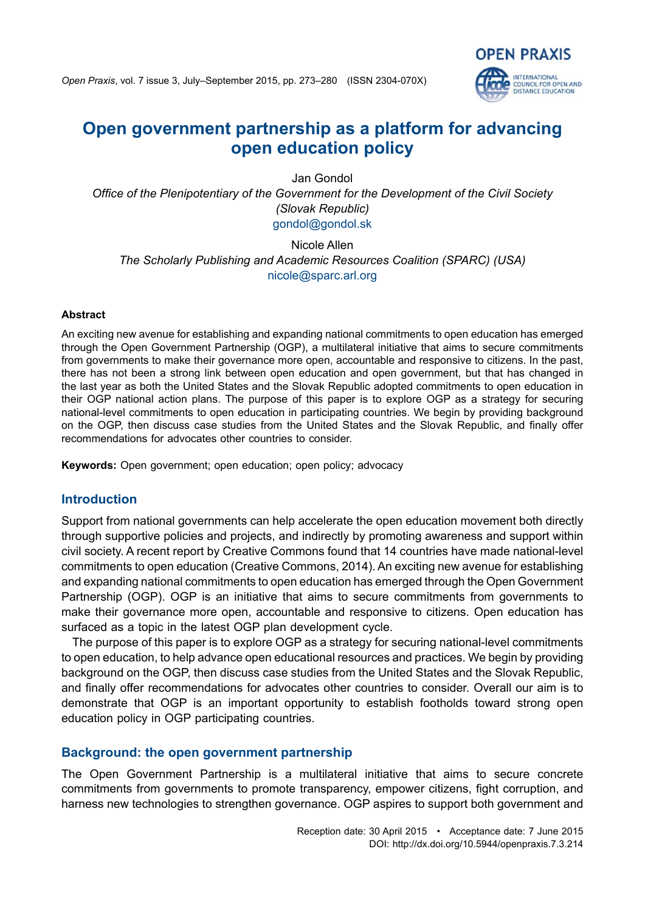

# **Open government partnership as a platform for advancing open education policy**

Jan Gondol *Office of the Plenipotentiary of the Government for the Development of the Civil Society (Slovak Republic)* gondol@gondol.sk

Nicole Allen *The Scholarly Publishing and Academic Resources Coalition (SPARC) (USA)* nicole@sparc.arl.org

#### **Abstract**

An exciting new avenue for establishing and expanding national commitments to open education has emerged through the Open Government Partnership (OGP), a multilateral initiative that aims to secure commitments from governments to make their governance more open, accountable and responsive to citizens. In the past, there has not been a strong link between open education and open government, but that has changed in the last year as both the United States and the Slovak Republic adopted commitments to open education in their OGP national action plans. The purpose of this paper is to explore OGP as a strategy for securing national-level commitments to open education in participating countries. We begin by providing background on the OGP, then discuss case studies from the United States and the Slovak Republic, and finally offer recommendations for advocates other countries to consider.

**Keywords:** Open government; open education; open policy; advocacy

## **Introduction**

Support from national governments can help accelerate the open education movement both directly through supportive policies and projects, and indirectly by promoting awareness and support within civil society. A recent report by Creative Commons found that 14 countries have made national-level commitments to open education (Creative Commons, 2014). An exciting new avenue for establishing and expanding national commitments to open education has emerged through the Open Government Partnership (OGP). OGP is an initiative that aims to secure commitments from governments to make their governance more open, accountable and responsive to citizens. Open education has surfaced as a topic in the latest OGP plan development cycle.

The purpose of this paper is to explore OGP as a strategy for securing national-level commitments to open education, to help advance open educational resources and practices. We begin by providing background on the OGP, then discuss case studies from the United States and the Slovak Republic, and finally offer recommendations for advocates other countries to consider. Overall our aim is to demonstrate that OGP is an important opportunity to establish footholds toward strong open education policy in OGP participating countries.

# **Background: the open government partnership**

The Open Government Partnership is a multilateral initiative that aims to secure concrete commitments from governments to promote transparency, empower citizens, fight corruption, and harness new technologies to strengthen governance. OGP aspires to support both government and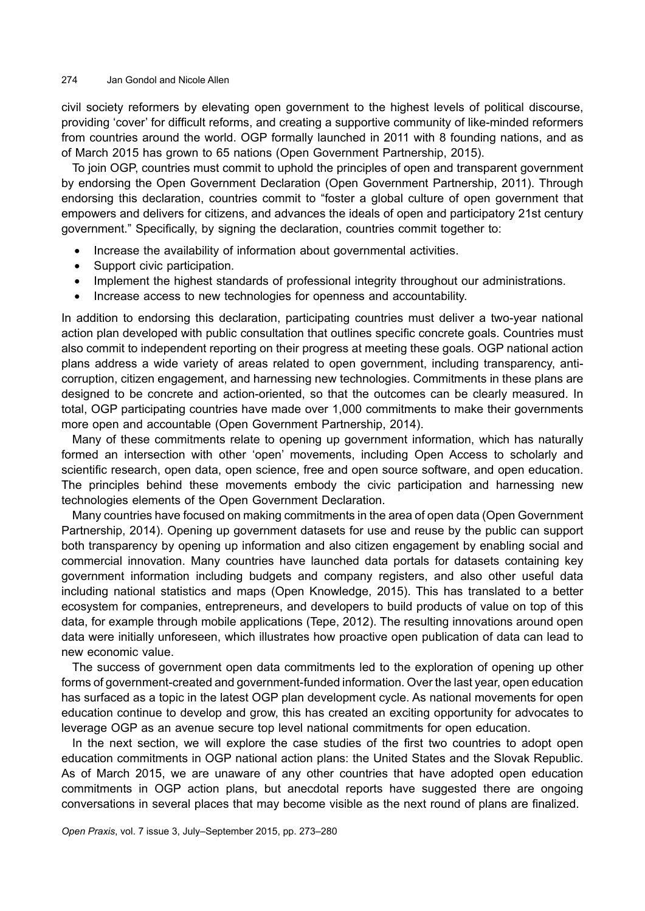#### 274 Jan Gondol and Nicole Allen

civil society reformers by elevating open government to the highest levels of political discourse, providing 'cover' for difficult reforms, and creating a supportive community of like-minded reformers from countries around the world. OGP formally launched in 2011 with 8 founding nations, and as of March 2015 has grown to 65 nations (Open Government Partnership, 2015).

To join OGP, countries must commit to uphold the principles of open and transparent government by endorsing the Open Government Declaration (Open Government Partnership, 2011). Through endorsing this declaration, countries commit to "foster a global culture of open government that empowers and delivers for citizens, and advances the ideals of open and participatory 21st century government." Specifically, by signing the declaration, countries commit together to:

- Increase the availability of information about governmental activities.
- Support civic participation.
- Implement the highest standards of professional integrity throughout our administrations.
- Increase access to new technologies for openness and accountability.

In addition to endorsing this declaration, participating countries must deliver a two-year national action plan developed with public consultation that outlines specific concrete goals. Countries must also commit to independent reporting on their progress at meeting these goals. OGP national action plans address a wide variety of areas related to open government, including transparency, anticorruption, citizen engagement, and harnessing new technologies. Commitments in these plans are designed to be concrete and action-oriented, so that the outcomes can be clearly measured. In total, OGP participating countries have made over 1,000 commitments to make their governments more open and accountable (Open Government Partnership, 2014).

Many of these commitments relate to opening up government information, which has naturally formed an intersection with other 'open' movements, including Open Access to scholarly and scientific research, open data, open science, free and open source software, and open education. The principles behind these movements embody the civic participation and harnessing new technologies elements of the Open Government Declaration.

Many countries have focused on making commitments in the area of open data (Open Government Partnership, 2014). Opening up government datasets for use and reuse by the public can support both transparency by opening up information and also citizen engagement by enabling social and commercial innovation. Many countries have launched data portals for datasets containing key government information including budgets and company registers, and also other useful data including national statistics and maps (Open Knowledge, 2015). This has translated to a better ecosystem for companies, entrepreneurs, and developers to build products of value on top of this data, for example through mobile applications (Tepe, 2012). The resulting innovations around open data were initially unforeseen, which illustrates how proactive open publication of data can lead to new economic value.

The success of government open data commitments led to the exploration of opening up other forms of government-created and government-funded information. Over the last year, open education has surfaced as a topic in the latest OGP plan development cycle. As national movements for open education continue to develop and grow, this has created an exciting opportunity for advocates to leverage OGP as an avenue secure top level national commitments for open education.

In the next section, we will explore the case studies of the first two countries to adopt open education commitments in OGP national action plans: the United States and the Slovak Republic. As of March 2015, we are unaware of any other countries that have adopted open education commitments in OGP action plans, but anecdotal reports have suggested there are ongoing conversations in several places that may become visible as the next round of plans are finalized.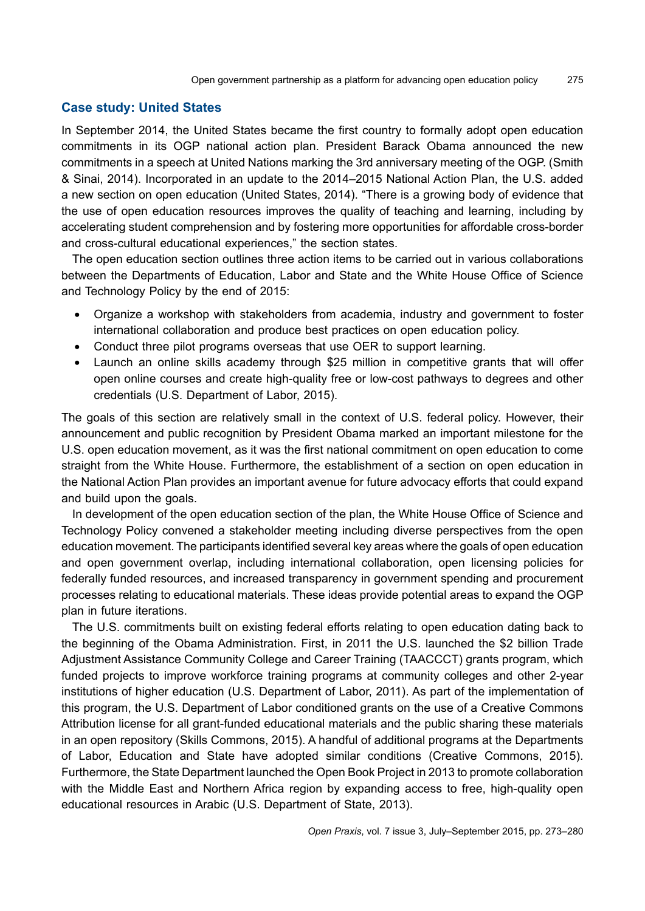#### **Case study: United States**

In September 2014, the United States became the first country to formally adopt open education commitments in its OGP national action plan. President Barack Obama announced the new commitments in a speech at United Nations marking the 3rd anniversary meeting of the OGP. (Smith & Sinai, 2014). Incorporated in an update to the 2014–2015 National Action Plan, the U.S. added a new section on open education (United States, 2014). "There is a growing body of evidence that the use of open education resources improves the quality of teaching and learning, including by accelerating student comprehension and by fostering more opportunities for affordable cross-border and cross-cultural educational experiences," the section states.

The open education section outlines three action items to be carried out in various collaborations between the Departments of Education, Labor and State and the White House Office of Science and Technology Policy by the end of 2015:

- Organize a workshop with stakeholders from academia, industry and government to foster international collaboration and produce best practices on open education policy.
- Conduct three pilot programs overseas that use OER to support learning.
- Launch an online skills academy through \$25 million in competitive grants that will offer open online courses and create high-quality free or low-cost pathways to degrees and other credentials (U.S. Department of Labor, 2015).

The goals of this section are relatively small in the context of U.S. federal policy. However, their announcement and public recognition by President Obama marked an important milestone for the U.S. open education movement, as it was the first national commitment on open education to come straight from the White House. Furthermore, the establishment of a section on open education in the National Action Plan provides an important avenue for future advocacy efforts that could expand and build upon the goals.

In development of the open education section of the plan, the White House Office of Science and Technology Policy convened a stakeholder meeting including diverse perspectives from the open education movement. The participants identified several key areas where the goals of open education and open government overlap, including international collaboration, open licensing policies for federally funded resources, and increased transparency in government spending and procurement processes relating to educational materials. These ideas provide potential areas to expand the OGP plan in future iterations.

The U.S. commitments built on existing federal efforts relating to open education dating back to the beginning of the Obama Administration. First, in 2011 the U.S. launched the \$2 billion Trade Adjustment Assistance Community College and Career Training (TAACCCT) grants program, which funded projects to improve workforce training programs at community colleges and other 2-year institutions of higher education (U.S. Department of Labor, 2011). As part of the implementation of this program, the U.S. Department of Labor conditioned grants on the use of a Creative Commons Attribution license for all grant-funded educational materials and the public sharing these materials in an open repository (Skills Commons, 2015). A handful of additional programs at the Departments of Labor, Education and State have adopted similar conditions (Creative Commons, 2015). Furthermore, the State Department launched the Open Book Project in 2013 to promote collaboration with the Middle East and Northern Africa region by expanding access to free, high-quality open educational resources in Arabic (U.S. Department of State, 2013).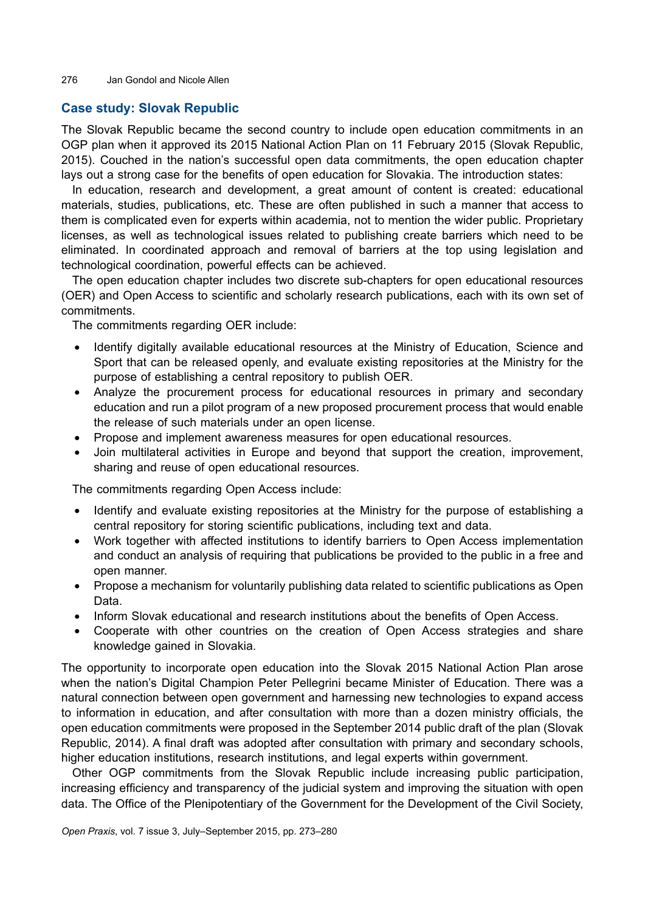276 Jan Gondol and Nicole Allen

## **Case study: Slovak Republic**

The Slovak Republic became the second country to include open education commitments in an OGP plan when it approved its 2015 National Action Plan on 11 February 2015 (Slovak Republic, 2015). Couched in the nation's successful open data commitments, the open education chapter lays out a strong case for the benefits of open education for Slovakia. The introduction states:

In education, research and development, a great amount of content is created: educational materials, studies, publications, etc. These are often published in such a manner that access to them is complicated even for experts within academia, not to mention the wider public. Proprietary licenses, as well as technological issues related to publishing create barriers which need to be eliminated. In coordinated approach and removal of barriers at the top using legislation and technological coordination, powerful effects can be achieved.

The open education chapter includes two discrete sub-chapters for open educational resources (OER) and Open Access to scientific and scholarly research publications, each with its own set of commitments.

The commitments regarding OER include:

- Identify digitally available educational resources at the Ministry of Education, Science and Sport that can be released openly, and evaluate existing repositories at the Ministry for the purpose of establishing a central repository to publish OER.
- Analyze the procurement process for educational resources in primary and secondary education and run a pilot program of a new proposed procurement process that would enable the release of such materials under an open license.
- Propose and implement awareness measures for open educational resources.
- Join multilateral activities in Europe and beyond that support the creation, improvement, sharing and reuse of open educational resources.

The commitments regarding Open Access include:

- Identify and evaluate existing repositories at the Ministry for the purpose of establishing a central repository for storing scientific publications, including text and data.
- Work together with affected institutions to identify barriers to Open Access implementation and conduct an analysis of requiring that publications be provided to the public in a free and open manner.
- Propose a mechanism for voluntarily publishing data related to scientific publications as Open Data.
- Inform Slovak educational and research institutions about the benefits of Open Access.
- Cooperate with other countries on the creation of Open Access strategies and share knowledge gained in Slovakia.

The opportunity to incorporate open education into the Slovak 2015 National Action Plan arose when the nation's Digital Champion Peter Pellegrini became Minister of Education. There was a natural connection between open government and harnessing new technologies to expand access to information in education, and after consultation with more than a dozen ministry officials, the open education commitments were proposed in the September 2014 public draft of the plan (Slovak Republic, 2014). A final draft was adopted after consultation with primary and secondary schools, higher education institutions, research institutions, and legal experts within government.

Other OGP commitments from the Slovak Republic include increasing public participation, increasing efficiency and transparency of the judicial system and improving the situation with open data. The Office of the Plenipotentiary of the Government for the Development of the Civil Society,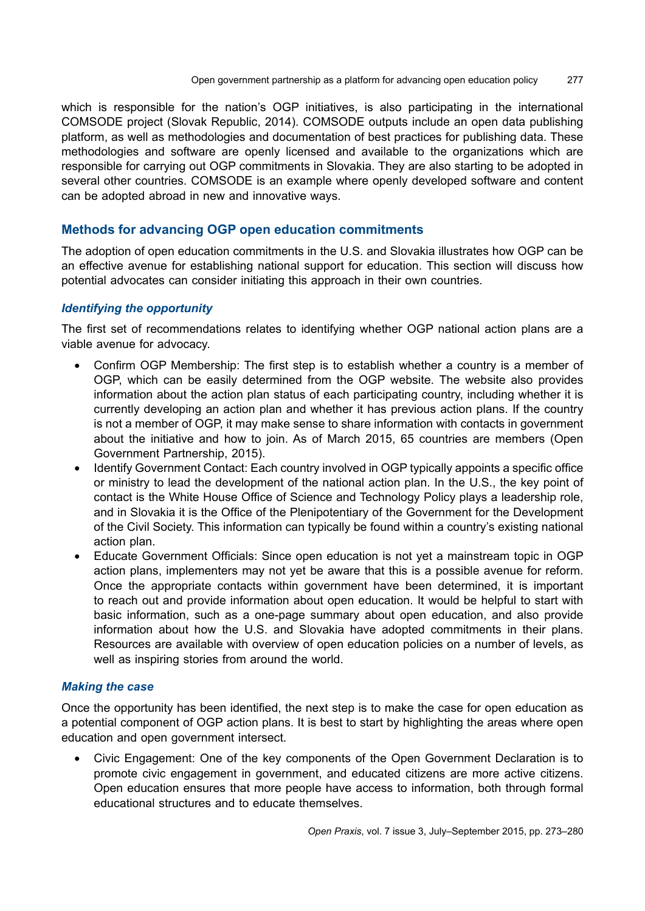which is responsible for the nation's OGP initiatives, is also participating in the international COMSODE project (Slovak Republic, 2014). COMSODE outputs include an open data publishing platform, as well as methodologies and documentation of best practices for publishing data. These methodologies and software are openly licensed and available to the organizations which are responsible for carrying out OGP commitments in Slovakia. They are also starting to be adopted in several other countries. COMSODE is an example where openly developed software and content can be adopted abroad in new and innovative ways.

# **Methods for advancing OGP open education commitments**

The adoption of open education commitments in the U.S. and Slovakia illustrates how OGP can be an effective avenue for establishing national support for education. This section will discuss how potential advocates can consider initiating this approach in their own countries.

#### *Identifying the opportunity*

The first set of recommendations relates to identifying whether OGP national action plans are a viable avenue for advocacy.

- Confirm OGP Membership: The first step is to establish whether a country is a member of OGP, which can be easily determined from the OGP website. The website also provides information about the action plan status of each participating country, including whether it is currently developing an action plan and whether it has previous action plans. If the country is not a member of OGP, it may make sense to share information with contacts in government about the initiative and how to join. As of March 2015, 65 countries are members (Open Government Partnership, 2015).
- Identify Government Contact: Each country involved in OGP typically appoints a specific office or ministry to lead the development of the national action plan. In the U.S., the key point of contact is the White House Office of Science and Technology Policy plays a leadership role, and in Slovakia it is the Office of the Plenipotentiary of the Government for the Development of the Civil Society. This information can typically be found within a country's existing national action plan.
- Educate Government Officials: Since open education is not yet a mainstream topic in OGP action plans, implementers may not yet be aware that this is a possible avenue for reform. Once the appropriate contacts within government have been determined, it is important to reach out and provide information about open education. It would be helpful to start with basic information, such as a one-page summary about open education, and also provide information about how the U.S. and Slovakia have adopted commitments in their plans. Resources are available with overview of open education policies on a number of levels, as well as inspiring stories from around the world.

## *Making the case*

Once the opportunity has been identified, the next step is to make the case for open education as a potential component of OGP action plans. It is best to start by highlighting the areas where open education and open government intersect.

• Civic Engagement: One of the key components of the Open Government Declaration is to promote civic engagement in government, and educated citizens are more active citizens. Open education ensures that more people have access to information, both through formal educational structures and to educate themselves.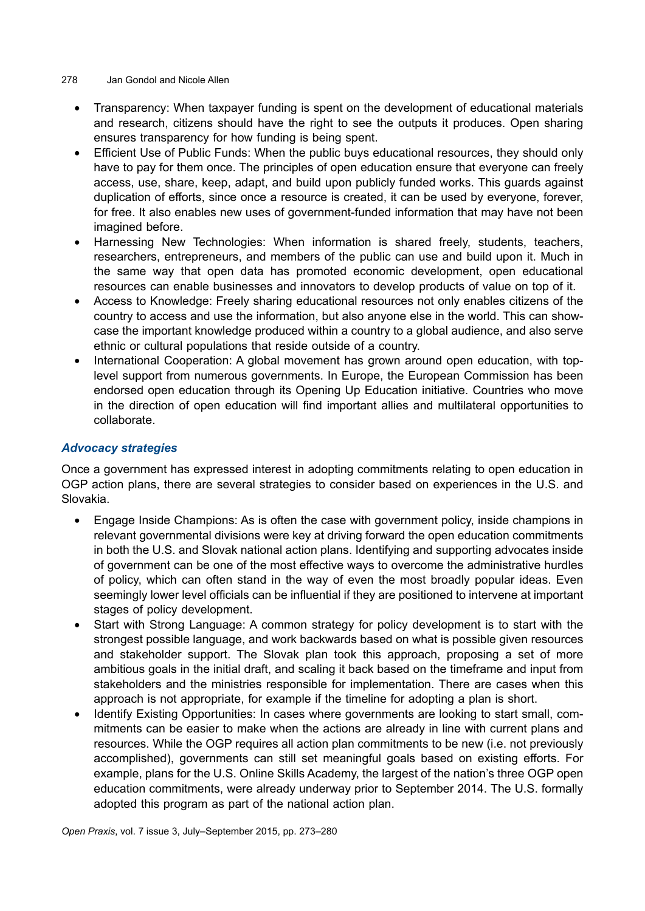#### 278 Jan Gondol and Nicole Allen

- Transparency: When taxpayer funding is spent on the development of educational materials and research, citizens should have the right to see the outputs it produces. Open sharing ensures transparency for how funding is being spent.
- Efficient Use of Public Funds: When the public buys educational resources, they should only have to pay for them once. The principles of open education ensure that everyone can freely access, use, share, keep, adapt, and build upon publicly funded works. This guards against duplication of efforts, since once a resource is created, it can be used by everyone, forever, for free. It also enables new uses of government-funded information that may have not been imagined before.
- Harnessing New Technologies: When information is shared freely, students, teachers, researchers, entrepreneurs, and members of the public can use and build upon it. Much in the same way that open data has promoted economic development, open educational resources can enable businesses and innovators to develop products of value on top of it.
- Access to Knowledge: Freely sharing educational resources not only enables citizens of the country to access and use the information, but also anyone else in the world. This can showcase the important knowledge produced within a country to a global audience, and also serve ethnic or cultural populations that reside outside of a country.
- International Cooperation: A global movement has grown around open education. with toplevel support from numerous governments. In Europe, the European Commission has been endorsed open education through its Opening Up Education initiative. Countries who move in the direction of open education will find important allies and multilateral opportunities to collaborate.

# *Advocacy strategies*

Once a government has expressed interest in adopting commitments relating to open education in OGP action plans, there are several strategies to consider based on experiences in the U.S. and Slovakia.

- Engage Inside Champions: As is often the case with government policy, inside champions in relevant governmental divisions were key at driving forward the open education commitments in both the U.S. and Slovak national action plans. Identifying and supporting advocates inside of government can be one of the most effective ways to overcome the administrative hurdles of policy, which can often stand in the way of even the most broadly popular ideas. Even seemingly lower level officials can be influential if they are positioned to intervene at important stages of policy development.
- Start with Strong Language: A common strategy for policy development is to start with the strongest possible language, and work backwards based on what is possible given resources and stakeholder support. The Slovak plan took this approach, proposing a set of more ambitious goals in the initial draft, and scaling it back based on the timeframe and input from stakeholders and the ministries responsible for implementation. There are cases when this approach is not appropriate, for example if the timeline for adopting a plan is short.
- Identify Existing Opportunities: In cases where governments are looking to start small, commitments can be easier to make when the actions are already in line with current plans and resources. While the OGP requires all action plan commitments to be new (i.e. not previously accomplished), governments can still set meaningful goals based on existing efforts. For example, plans for the U.S. Online Skills Academy, the largest of the nation's three OGP open education commitments, were already underway prior to September 2014. The U.S. formally adopted this program as part of the national action plan.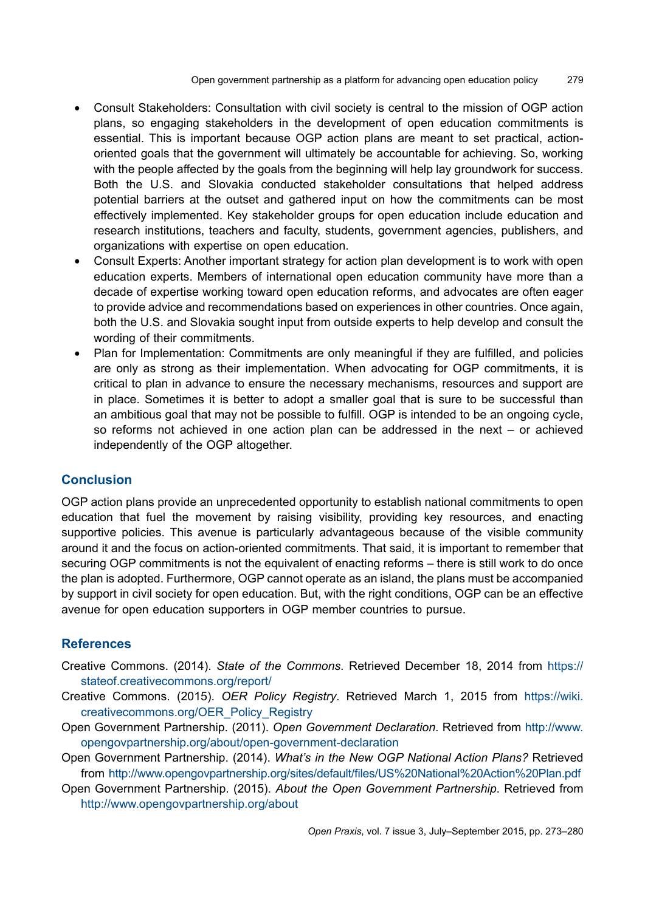- Consult Stakeholders: Consultation with civil society is central to the mission of OGP action plans, so engaging stakeholders in the development of open education commitments is essential. This is important because OGP action plans are meant to set practical, actionoriented goals that the government will ultimately be accountable for achieving. So, working with the people affected by the goals from the beginning will help lay groundwork for success. Both the U.S. and Slovakia conducted stakeholder consultations that helped address potential barriers at the outset and gathered input on how the commitments can be most effectively implemented. Key stakeholder groups for open education include education and research institutions, teachers and faculty, students, government agencies, publishers, and organizations with expertise on open education.
- Consult Experts: Another important strategy for action plan development is to work with open education experts. Members of international open education community have more than a decade of expertise working toward open education reforms, and advocates are often eager to provide advice and recommendations based on experiences in other countries. Once again, both the U.S. and Slovakia sought input from outside experts to help develop and consult the wording of their commitments.
- Plan for Implementation: Commitments are only meaningful if they are fulfilled, and policies are only as strong as their implementation. When advocating for OGP commitments, it is critical to plan in advance to ensure the necessary mechanisms, resources and support are in place. Sometimes it is better to adopt a smaller goal that is sure to be successful than an ambitious goal that may not be possible to fulfill. OGP is intended to be an ongoing cycle, so reforms not achieved in one action plan can be addressed in the next – or achieved independently of the OGP altogether.

## **Conclusion**

OGP action plans provide an unprecedented opportunity to establish national commitments to open education that fuel the movement by raising visibility, providing key resources, and enacting supportive policies. This avenue is particularly advantageous because of the visible community around it and the focus on action-oriented commitments. That said, it is important to remember that securing OGP commitments is not the equivalent of enacting reforms – there is still work to do once the plan is adopted. Furthermore, OGP cannot operate as an island, the plans must be accompanied by support in civil society for open education. But, with the right conditions, OGP can be an effective avenue for open education supporters in OGP member countries to pursue.

## **References**

- Creative Commons. (2014). *State of the Commons*. Retrieved December 18, 2014 from [https://](https://stateof.creativecommons.org/report/) [stateof.creativecommons.org/report/](https://stateof.creativecommons.org/report/)
- Creative Commons. (2015). *OER Policy Registry*. Retrieved March 1, 2015 from [https://wiki.](https://wiki.creativecommons.org/OER_Policy_Registry) [creativecommons.org/OER\\_Policy\\_Registry](https://wiki.creativecommons.org/OER_Policy_Registry)
- Open Government Partnership. (2011). *Open Government Declaration*. Retrieved from [http://www.](http://www.opengovpartnership.org/about/open-government-declaration) [opengovpartnership.org/about/open-government-declaration](http://www.opengovpartnership.org/about/open-government-declaration)
- Open Government Partnership. (2014). *What's in the New OGP National Action Plans?* Retrieved from [http://www.opengovpartnership.org/sites/default/files/US%20National%20Action%20Plan.pdf](http://www.opengovpartnership.org/sites/default/files/US National Action Plan.pdf)
- Open Government Partnership. (2015). *About the Open Government Partnership*. Retrieved from <http://www.opengovpartnership.org/about>